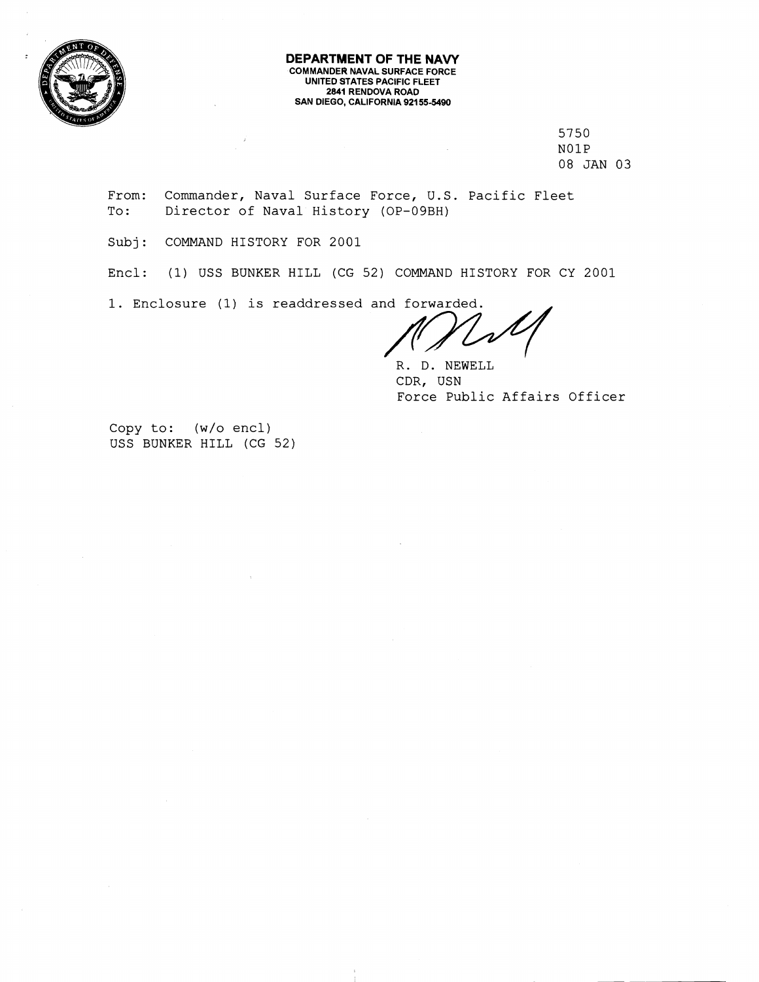

#### **DEPARTMENT OF THE NAVY COMMANDER NAVAL SURFACE FORCE UNITED STATES PACIFIC FLEET 2841 RENDOVA ROAD SAN DIEGO, CALIFORNIA 92155-5490**

5750 NOlP 08 JAN 03

From: Commander, Naval Surface Force, U.S. Pacific Fleet To: Director of Naval History (OP-09BH)

Subj: COMMAND HISTORY FOR 2001

Encl: (1) USS BUNKER HILL (CG 52) COMMAND HISTORY FOR CY 2001

Subj: COMMAND HISTORY FOR 2001<br>
Encl: (1) USS BUNKER HILL (CG 52) COMMAND HISTORY FOR CY 2001<br>
1. Enclosure (1) is readdressed and forwarded.<br>
R. D. NEWELL<br>
CDR, USN

R. D. NEWELL CDR, USN Force Public Affairs Officer

Copy to: (w/o encl) USS BUNKER HILL (CG 52)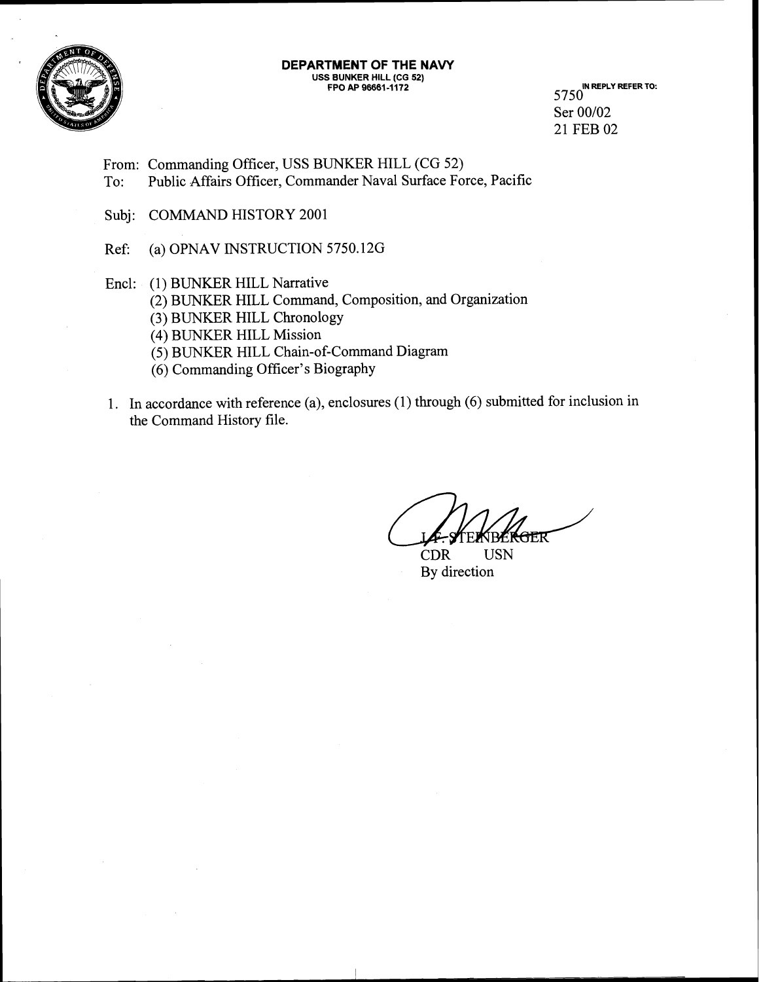

# **DEPARTMENT OF THE NAVY USS BUNKER HILL (CG 52) FPO AP 96661 -1172 IN REPLY REFER TO:**

5750 Ser 00/02 21 FEB 02

From: Commanding Officer, USS BUNKER HILL (CG 52) To: Public Affairs Officer, Commander Naval Surface Force, Pacific

Subj: COMMAND HISTORY 2001

Ref: (a) OPNAV INSTRUCTION 5750.12G

- Encl: (1) BUNKER HILL Narrative (2) BUNKER HILL Command, Composition, and Organization **(3)** BUNKER HILL Chronology (4) BUNKER HILL Mission (5) BUNKER HILL Chain-of-Command Diagram (6) Commanding Officer's Biography
- 1. In accordance with reference (a), enclosures (1) through (6) submitted for inclusion in the Command History file.

ATR

CDR USN By direction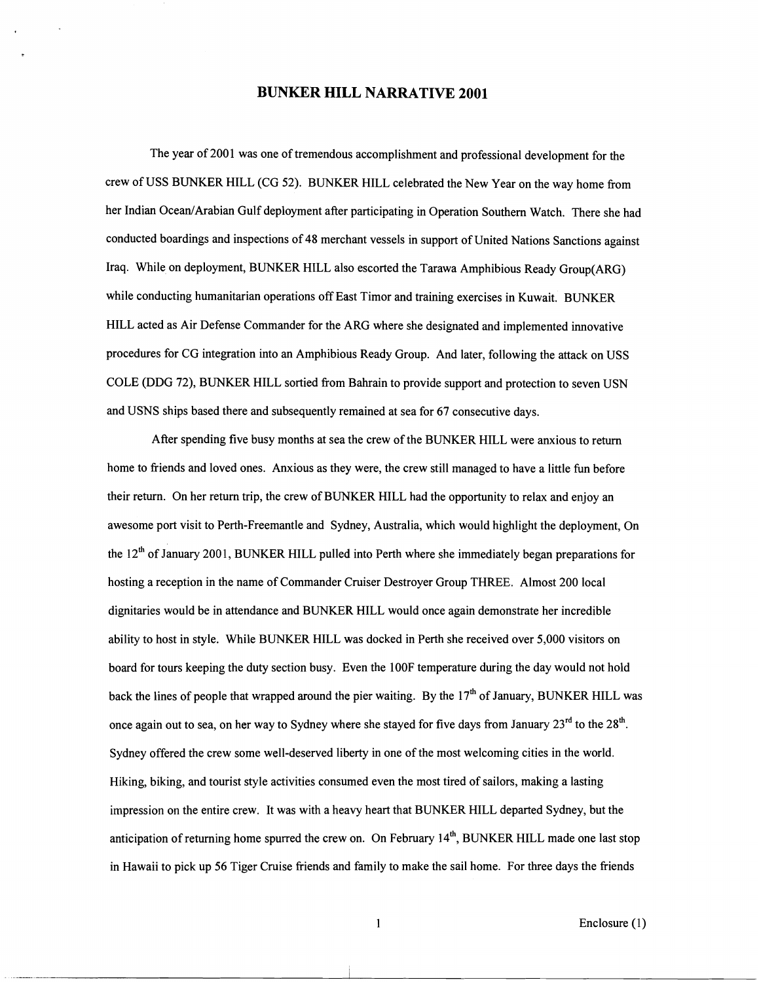#### **BUNKER HILL NARRATIVE 2001**

The year of 2001 was one of tremendous accomplishment and professional development for the crew of USS BUNKER HILL (CG 52). BUNKER HILL celebrated the New Year on the way home from her Indian Ocean/Arabian Gulf deployment after participating in Operation Southern Watch. There she had conducted boardings and inspections of 48 merchant vessels in support of United Nations Sanctions against Iraq. While on deployment, BUNKER HILL also escorted the Tarawa Amphibious Ready Group(ARG) while conducting humanitarian operations off East Timor and training exercises in Kuwait. BUNKER HILL acted as Air Defense Commander for the ARG where she designated and implemented innovative procedures for CG integration into an Amphibious Ready Group. And later, following the attack on USS COLE (DDG 72), BUNKER HILL sortied from Bahrain to provide support and protection to seven USN and USNS ships based there and subsequently remained at sea for 67 consecutive days.

After spending five busy months at sea the crew of the BUNKER HILL were anxious to return home to friends and loved ones. Anxious as they were, the crew still managed to have a little fun before their return. On her return trip, the crew of BUNKER HILL had the opportunity to relax and enjoy an awesome port visit to Perth-Freemantle and Sydney, Australia, which would highlight the deployment, On the  $12<sup>th</sup>$  of January 2001, BUNKER HILL pulled into Perth where she immediately began preparations for hosting a reception in the name of Commander Cruiser Destroyer Group THREE. Almost 200 local dignitaries would be in attendance and BUNKER HILL would once again demonstrate her incredible ability to host in style. While BUNKER HILL was docked in Perth she received over 5,000 visitors on board for tours keeping the duty section busy. Even the lOOF temperature during the day would not hold back the lines of people that wrapped around the pier waiting. By the  $17<sup>th</sup>$  of January, BUNKER HILL was once again out to sea, on her way to Sydney where she stayed for five days from January  $23<sup>rd</sup>$  to the  $28<sup>th</sup>$ . Sydney offered the crew some well-deserved liberty in one of the most welcoming cities in the world. Hiking, biking, and tourist style activities consumed even the most tired of sailors, making a lasting impression on the entire crew. It was with a heavy heart that BUNKER HILL departed Sydney, but the anticipation of returning home spurred the crew on. On February  $14<sup>th</sup>$ , BUNKER HILL made one last stop in Hawaii to pick up 56 Tiger Cruise friends and family to make the sail home. For three days the friends

1 Enclosure (1)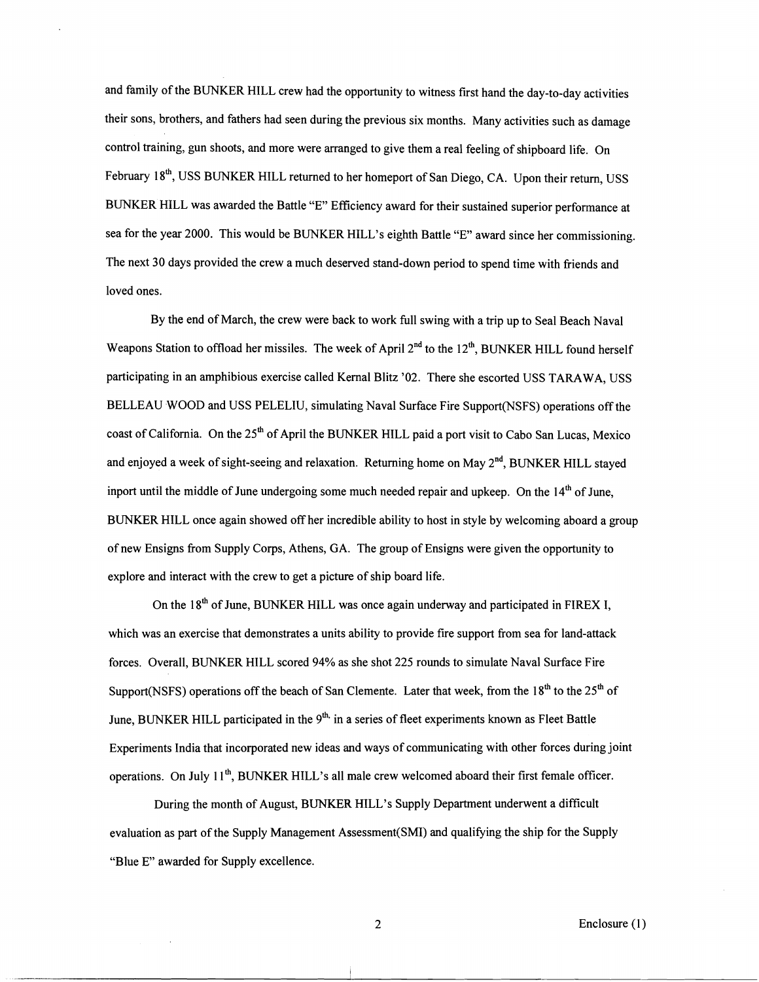and family of the BUNKER HILL crew had the opportunity to witness first hand the day-to-day activities their sons, brothers, and fathers had seen during the previous six months. Many activities such as damage control training, gun shoots, and more were arranged to give them a real feeling of shipboard life. On February 18<sup>th</sup>, USS BUNKER HILL returned to her homeport of San Diego, CA. Upon their return, USS BUNKER HILL was awarded the Battle "E" Eficiency award for their sustained superior performance at sea for the year 2000. This would be BUNKER HILL's eighth Battle "E" award since her commissioning. The next 30 days provided the crew a much deserved stand-down period to spend time with friends and loved ones.

By the end of March, the crew were back to work full swing with a trip up to Seal Beach Naval Weapons Station to offload her missiles. The week of April 2<sup>nd</sup> to the 12<sup>th</sup>, BUNKER HILL found herself participating in an amphibious exercise called Kernal Blitz '02. There she escorted USS TARAWA, USS BELLEAU WOOD and USS PELELIU, simulating Naval Surface Fire Support(NSFS) operations off the coast of California. On the 25<sup>th</sup> of April the BUNKER HILL paid a port visit to Cabo San Lucas, Mexico and enjoyed a week of sight-seeing and relaxation. Returning home on May  $2<sup>nd</sup>$ , BUNKER HILL stayed inport until the middle of June undergoing some much needed repair and upkeep. On the  $14<sup>th</sup>$  of June, BUNKER HILL once again showed off her incredible ability to host in style by welcoming aboard a group of new Ensigns fiom Supply Corps, Athens, GA. The group of Ensigns were given the opportunity to explore and interact with the crew to get a picture of ship board life.

On the 18<sup>th</sup> of June, BUNKER HILL was once again underway and participated in FIREX I, which was an exercise that demonstrates a units ability to provide fire support from sea for land-attack forces. Overall, BUNKER HILL scored 94% as she shot 225 rounds to simulate Naval Surface Fire Support(NSFS) operations off the beach of San Clemente. Later that week, from the  $18<sup>th</sup>$  to the  $25<sup>th</sup>$  of June, BUNKER HILL participated in the  $9<sup>th</sup>$  in a series of fleet experiments known as Fleet Battle Experiments India that incorporated new ideas and ways of communicating with other forces during joint operations. On July 1 I", BUNKER HILL's all male crew welcomed aboard their first female officer.

During the month of August, BUNKER HILL's Supply Department underwent a difficult evaluation as part of the Supply Management Assessment(SM1) and qualifying the ship for the Supply "Blue E" awarded for Supply excellence.

2 Enclosure (1)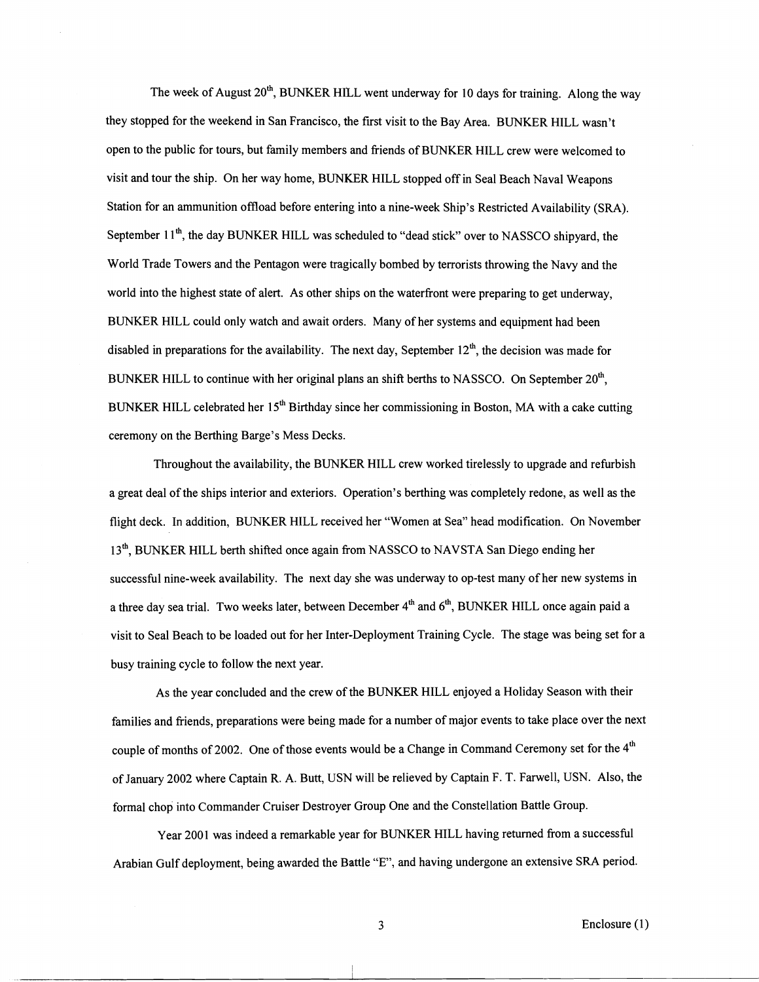The week of August 20<sup>th</sup>, BUNKER HILL went underway for 10 days for training. Along the way they stopped for the weekend in San Francisco, the first visit to the Bay Area. BUNKER HILL wasn't open to the public for tours, but family members and friends of BUNKER HILL crew were welcomed to visit and tour the ship. On her way home, BUNKER HILL stopped off in Seal Beach Naval Weapons Station for an ammunition ofload before entering into a nine-week Ship's Restricted Availability (SRA). September 11<sup>th</sup>, the day BUNKER HILL was scheduled to "dead stick" over to NASSCO shipyard, the World Trade Towers and the Pentagon were tragically bombed by terrorists throwing the Navy and the world into the highest state of alert. As other ships on the waterfront were preparing to get underway, BUNKER HILL could only watch and await orders. Many of her systems and equipment had been disabled in preparations for the availability. The next day, September  $12<sup>th</sup>$ , the decision was made for BUNKER HILL to continue with her original plans an shift berths to NASSCO. On September 20<sup>th</sup>, BUNKER HILL celebrated her 15<sup>th</sup> Birthday since her commissioning in Boston, MA with a cake cutting ceremony on the Berthing Barge's Mess Decks.

Throughout the availability, the BUNKER HILL crew worked tirelessly to upgrade and refurbish a great deal of the ships interior and exteriors. Operation's berthing was completely redone, as well as the flight deck. In addition, BUNKER HILL received her "Women at Sea" head modification. On November 13<sup>th</sup>, BUNKER HILL berth shifted once again from NASSCO to NAVSTA San Diego ending her successful nine-week availability. The next day she was underway to op-test many of her new systems in a three day sea trial. Two weeks later, between December 4" and *6",* BUNKER HILL once again paid a visit to Seal Beach to be loaded out for her Inter-Deployment Training Cycle. The stage was being set for a busy training cycle to follow the next year.

As the year concluded and the crew of the BUNKER HILL enjoyed a Holiday Season with their families and friends, preparations were being made for a number of major events to take place over the next couple of months of 2002. One of those events would be a Change in Command Ceremony set for the 4<sup>th</sup> of January 2002 where Captain R. A. Butt, USN will be relieved by Captain F. T. Farwell, USN. Also, the formal chop into Commander Cruiser Destroyer Group One and the Constellation Battle Group.

Year 2001 was indeed a remarkable year for BUNKER HILL having returned from a successful Arabian Gulf deployment, being awarded the Battle "E", and having undergone an extensive SRA period.

**3** Enclosure (1)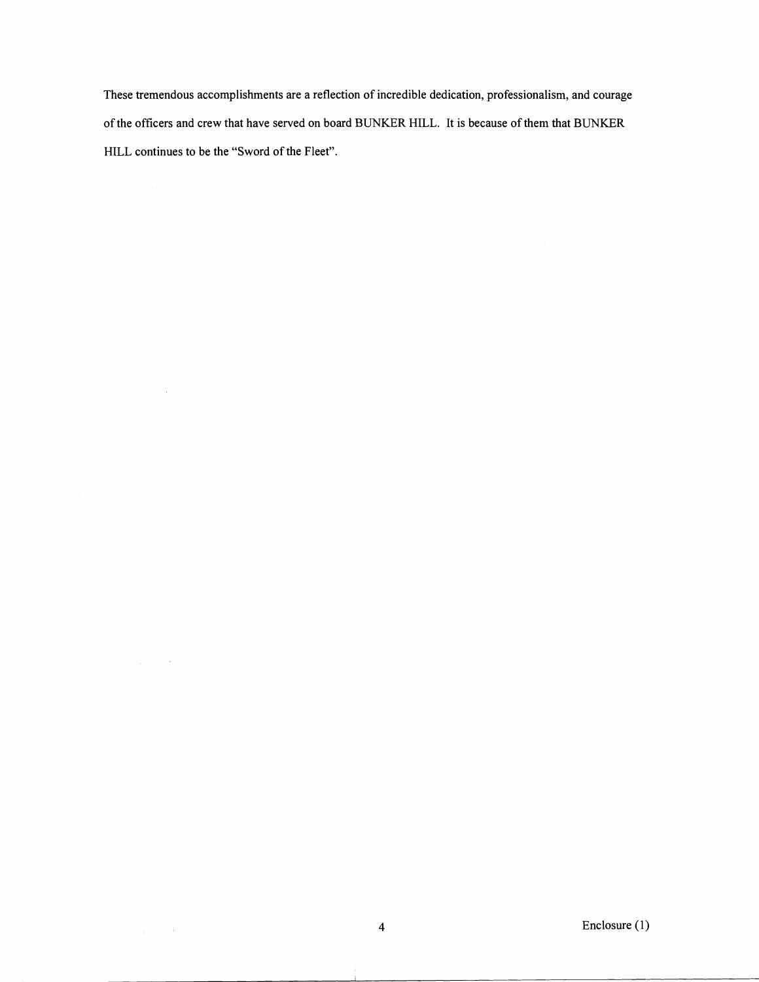These tremendous accomplishments are a reflection of incredible dedication, professionalism, and courage of the officers and crew that have served on board BUNKER HILL. It is because of them that BUNKER HILL continues to be the "Sword of the Fleet".

 $\sim$ 

 $\Delta \phi = 0.001$ 

 $\frac{1}{2} \int_{\mathbb{R}^2} \left| \frac{d\mathbf{r}}{d\mathbf{r}} \right|^2 \, d\mathbf{r}$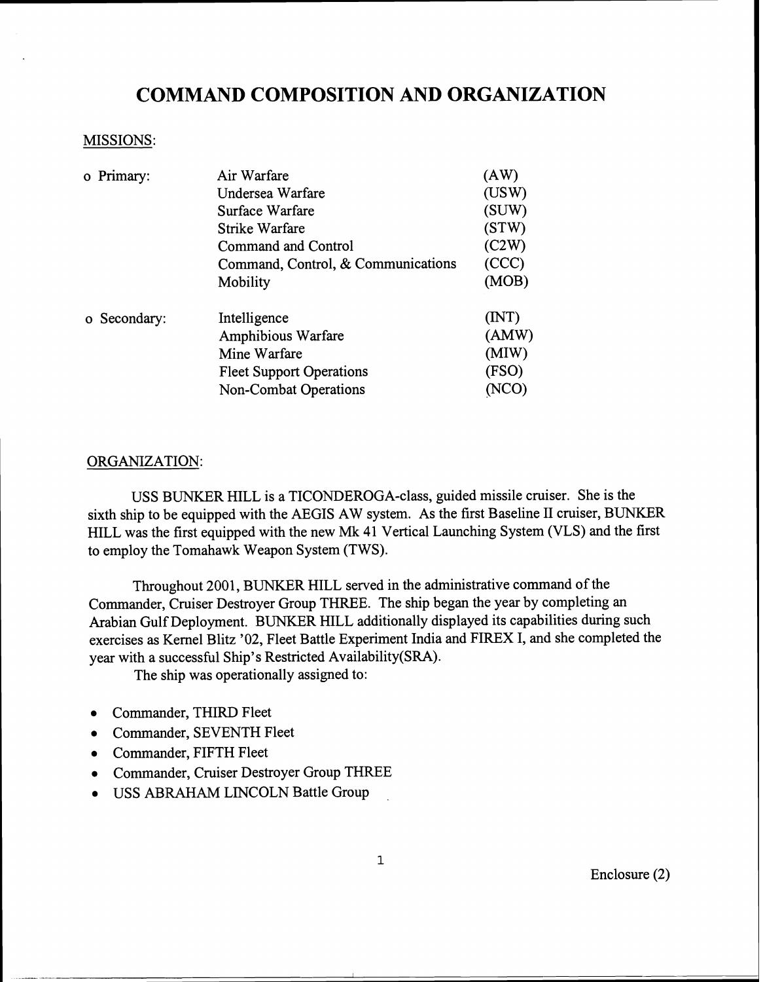# **COMMAND COMPOSITION AND ORGANIZATION**

#### MISSIONS:

| o Primary:   | Air Warfare                        | (AW)  |
|--------------|------------------------------------|-------|
|              | Undersea Warfare                   | (USW) |
|              | Surface Warfare                    | (SUW) |
|              | Strike Warfare                     | (STW) |
|              | Command and Control                | (C2W) |
|              | Command, Control, & Communications | (CCC) |
|              | Mobility                           | (MOB) |
| o Secondary: | Intelligence                       | (MT)  |
|              | Amphibious Warfare                 | (AMW) |
|              | Mine Warfare                       | (MIW) |
|              | <b>Fleet Support Operations</b>    | (FSO) |
|              | <b>Non-Combat Operations</b>       |       |

### ORGANIZATION:

USS BUNKER HILL is a TICONDEROGA-class, guided missile cruiser. She is the sixth ship to be equipped with the AEGIS AW system. As the first Baseline I1 cruiser, BUNKER HILL was the first equipped with the new Mk 41 Vertical Launching System (VLS) and the first to employ the Tomahawk Weapon System (TWS).

Throughout 2001, BUNKER HILL served in the administrative command of the Commander, Cruiser Destroyer Group THREE. The ship began the year by completing an Arabian Gulf Deployment. BUNKER HILL additionally displayed its capabilities during such exercises as Kernel Blitz '02, Fleet Battle Experiment India and FIREX I, and she completed the year with a successful Ship's Restricted Availability(SRA).

The ship was operationally assigned to:

- Commander, THIRD Fleet
- Commander, SEVENTH Fleet
- Commander, FIFTH Fleet
- Commander, Cruiser Destroyer Group THREE
- USS ABRAHAM LINCOLN Battle Group

Enclosure (2)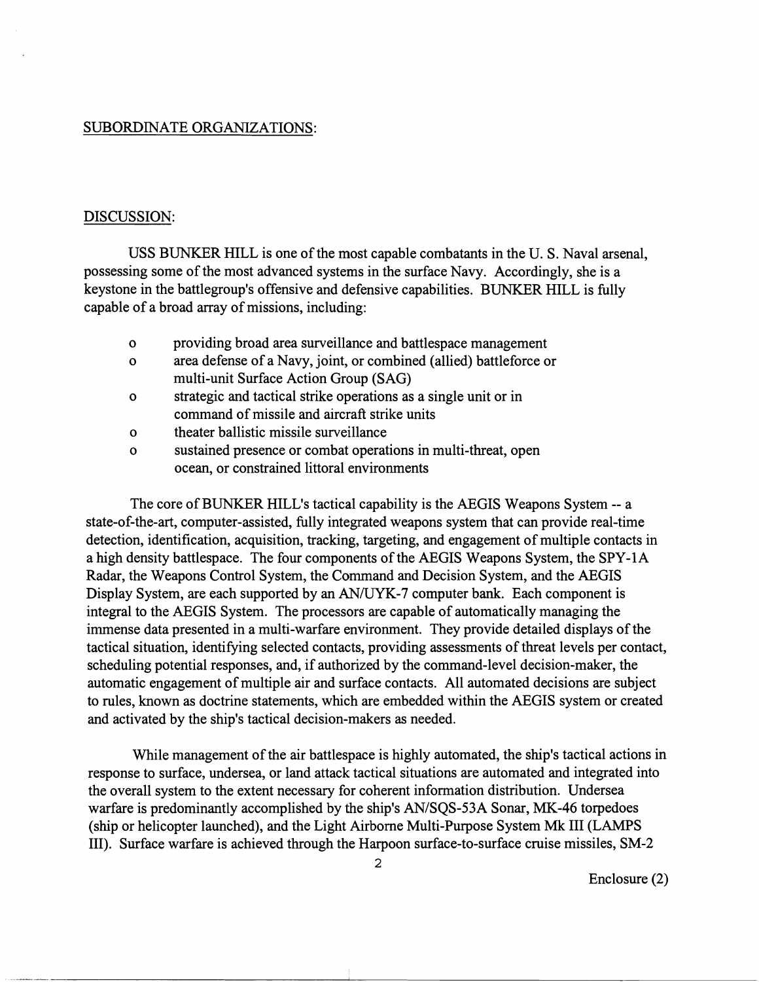#### SUBORDINATE ORGANIZATIONS:

#### DISCUSSION:

USS BUNKER HILL is one of the most capable combatants in the U. S. Naval arsenal, possessing some of the most advanced systems in the surface Navy. Accordingly, she is a keystone in the battlegroup's offensive and defensive capabilities. BUNKER HILL is fully capable of a broad array of missions, including:

- o providing broad area surveillance and battlespace management
- o area defense of a Navy, joint, or combined (allied) battleforce or multi-unit Surface Action Group (SAG)
- o strategic and tactical strike operations as a single unit or in command of missile and aircraft strike units
- o theater ballistic missile surveillance
- o sustained presence or combat operations in multi-threat, open ocean, or constrained littoral environments

The core of BUNKER HILL'S tactical capability is the AEGIS Weapons System -- a state-of-the-art, computer-assisted, fully integrated weapons system that can provide real-time detection, identification, acquisition, tracking, targeting, and engagement of multiple contacts in a high density battlespace. The four components of the AEGIS Weapons System, the SPY-1A Radar, the Weapons Control System, the Command and Decision System, and the AEGIS Display System, are each supported by an AN/UYK-7 computer bank. Each component is integral to the AEGIS System. The processors are capable of automatically managing the immense data presented in a multi-warfare environment. They provide detailed displays of the tactical situation, identifying selected contacts, providing assessments of threat levels per contact, scheduling potential responses, and, if authorized by the command-level decision-maker, the automatic engagement of multiple air and surface contacts. All automated decisions are subject to rules, known as doctrine statements, which are embedded within the AEGIS system or created and activated by the ship's tactical decision-makers as needed.

While management of the air battlespace is highly automated, the ship's tactical actions in response to surface, undersea, or land attack tactical situations are automated and integrated into the overall system to the extent necessary for coherent information distribution. Undersea warfare is predominantly accomplished by the ship's AN/SQS-53A Sonar, MK-46 torpedoes (ship or helicopter launched), and the Light Airborne Multi-Purpose System **Mk** I11 (LAMPS 111). Surface warfare is achieved through the Harpoon surface-to-surface cruise missiles, SM-2

Enclosure (2)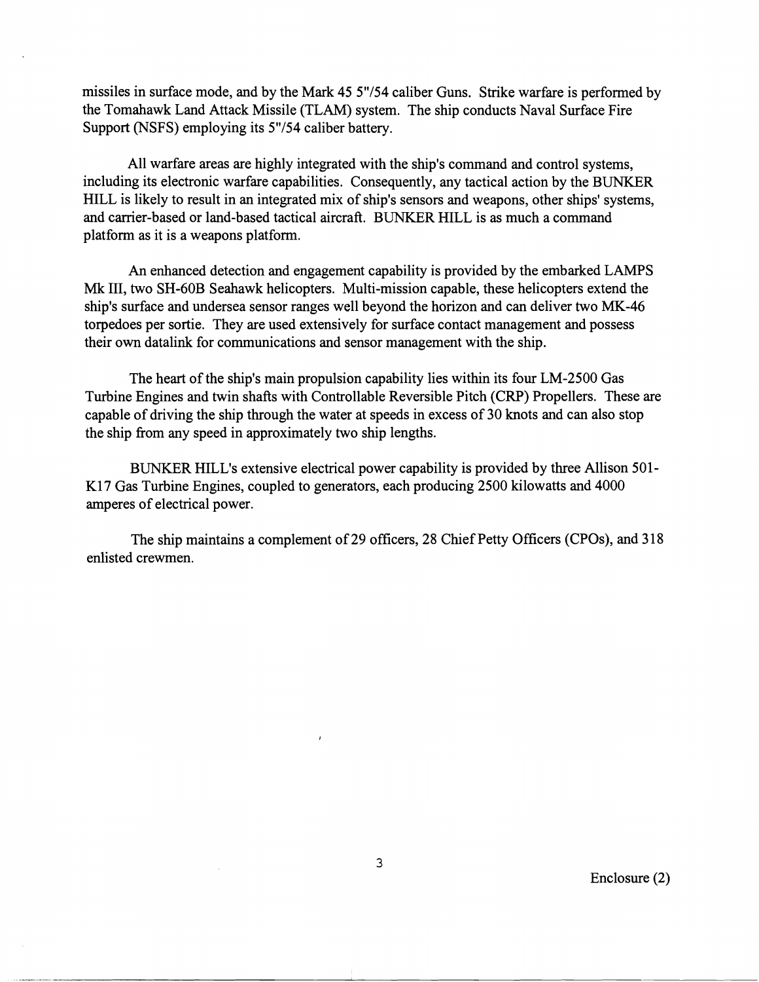missiles in surface mode, and by the Mark 45 5"/54 caliber Guns. Strike warfare is performed by the Tomahawk Land Attack Missile (TLAM) system. The ship conducts Naval Surface Fire Support (NSFS) employing its 5"/54 caliber battery.

All warfare areas are highly integrated with the ship's command and control systems, including its electronic warfare capabilities. Consequently, any tactical action by the BUNKER HILL is likely to result in an integrated mix of ship's sensors and weapons, other ships' systems, and carrier-based or land-based tactical aircraft. BUNKER HILL is as much a command platform as it is a weapons platform.

An enhanced detection and engagement capability is provided by the embarked LAMPS Mk 111, two SH-60B Seahawk helicopters. Multi-mission capable, these helicopters extend the ship's surface and undersea sensor ranges well beyond the horizon and can deliver two MK-46 torpedoes per sortie. They are used extensively for surface contact management and possess their own datalink for communications and sensor management with the ship.

The heart of the ship's main propulsion capability lies within its four LM-2500 Gas Turbine Engines and twin shafts with Controllable Reversible Pitch (CRP) Propellers. These are capable of driving the ship through the water at speeds in excess of 30 knots and can also stop the ship from any speed in approximately two ship lengths.

BUNKER HILL'S extensive electrical power capability is provided by three Allison 501- K17 Gas Turbine Engines, coupled to generators, each producing 2500 kilowatts and 4000 amperes of electrical power.

The ship maintains a complement of 29 officers, 28 Chief Petty Officers (CPOs), and 3 18 enlisted crewmen.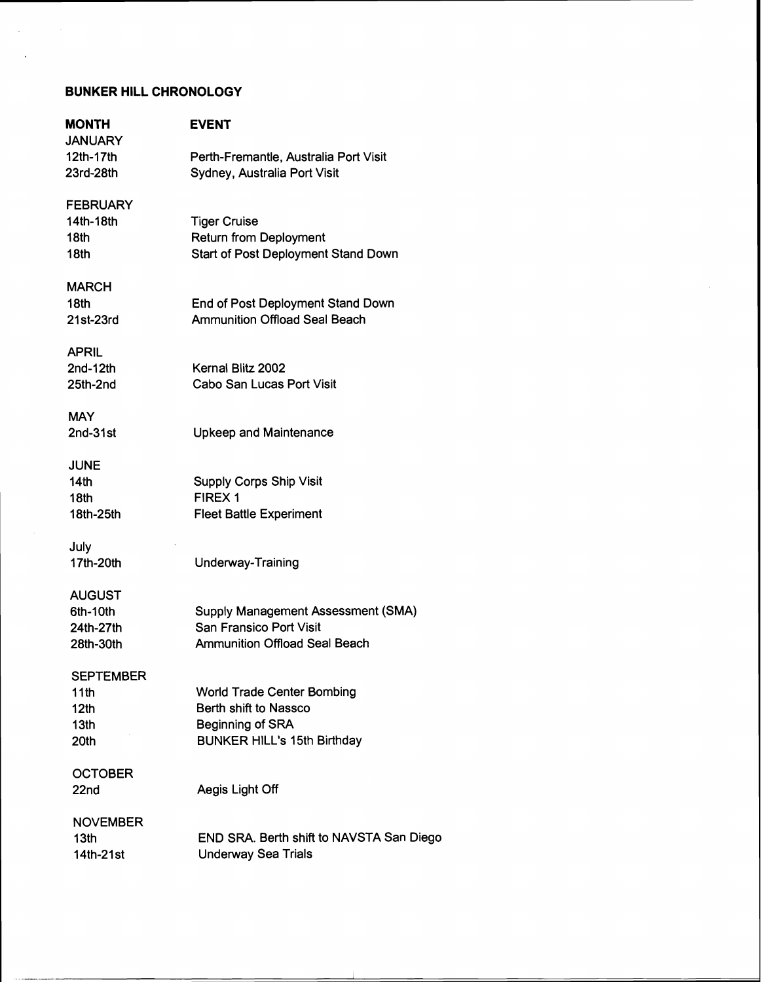# **BUNKER HILL CHRONOLOGY**

J.

| MONTH<br><b>JANUARY</b> | <b>EVENT</b>                             |
|-------------------------|------------------------------------------|
| 12th-17th               | Perth-Fremantle, Australia Port Visit    |
| 23rd-28th               | Sydney, Australia Port Visit             |
| <b>FEBRUARY</b>         |                                          |
| 14th-18th               | <b>Tiger Cruise</b>                      |
| 18th                    | <b>Return from Deployment</b>            |
| 18th                    | Start of Post Deployment Stand Down      |
| MARCH                   |                                          |
| 18th                    | End of Post Deployment Stand Down        |
| 21st-23rd               | <b>Ammunition Offload Seal Beach</b>     |
| APRIL                   |                                          |
| $2nd-12th$              | Kernal Blitz 2002                        |
| 25th-2nd                | Cabo San Lucas Port Visit                |
| <b>MAY</b>              |                                          |
| 2nd-31st                | <b>Upkeep and Maintenance</b>            |
| <b>JUNE</b>             |                                          |
| 14 <sub>th</sub>        | <b>Supply Corps Ship Visit</b>           |
| 18 <sub>th</sub>        | FIREX 1                                  |
| 18th-25th               | <b>Fleet Battle Experiment</b>           |
| July                    |                                          |
| 17th-20th               | Underway-Training                        |
| <b>AUGUST</b>           |                                          |
| 6th-10th                | Supply Management Assessment (SMA)       |
| 24th-27th               | San Fransico Port Visit                  |
| 28th-30th               | <b>Ammunition Offload Seal Beach</b>     |
| <b>SEPTEMBER</b>        |                                          |
| 11th                    | <b>World Trade Center Bombing</b>        |
| 12 <sub>th</sub>        | Berth shift to Nassco                    |
| 13th                    | Beginning of SRA                         |
| 20th                    | <b>BUNKER HILL's 15th Birthday</b>       |
| <b>OCTOBER</b>          |                                          |
| 22nd                    | Aegis Light Off                          |
| <b>NOVEMBER</b>         |                                          |
| 13th                    | END SRA. Berth shift to NAVSTA San Diego |
| 14th-21st               | <b>Underway Sea Trials</b>               |
|                         |                                          |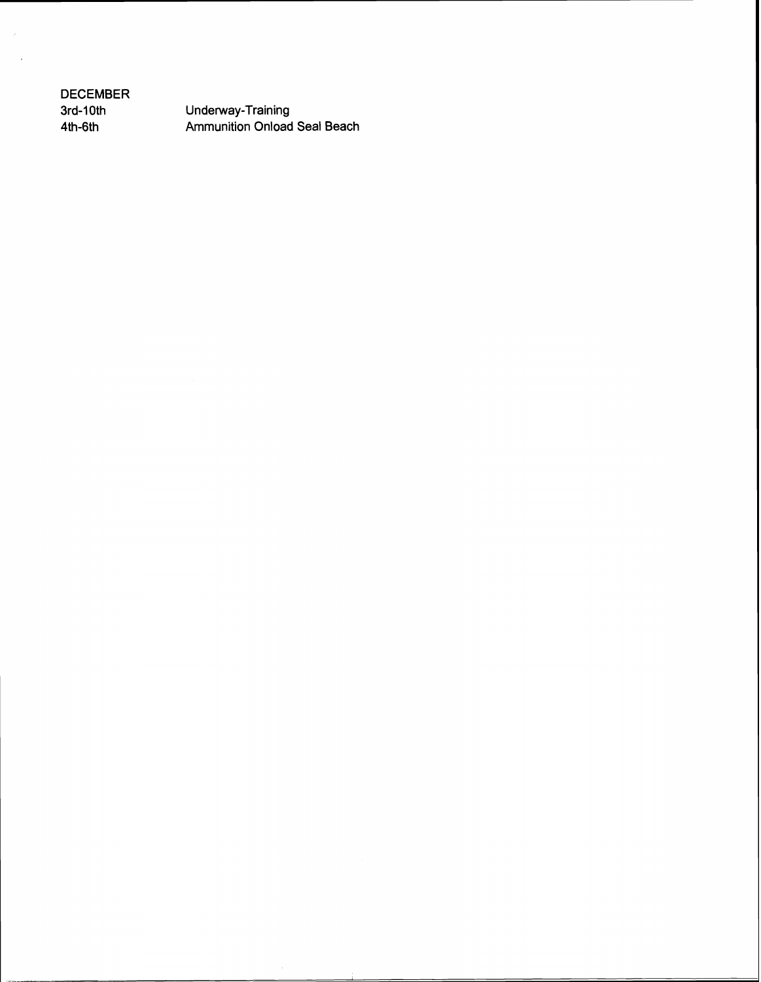**DECEMBER 3rd-10th 4th-6th** 

**Underway-Training Ammunition Onload Seal Beach**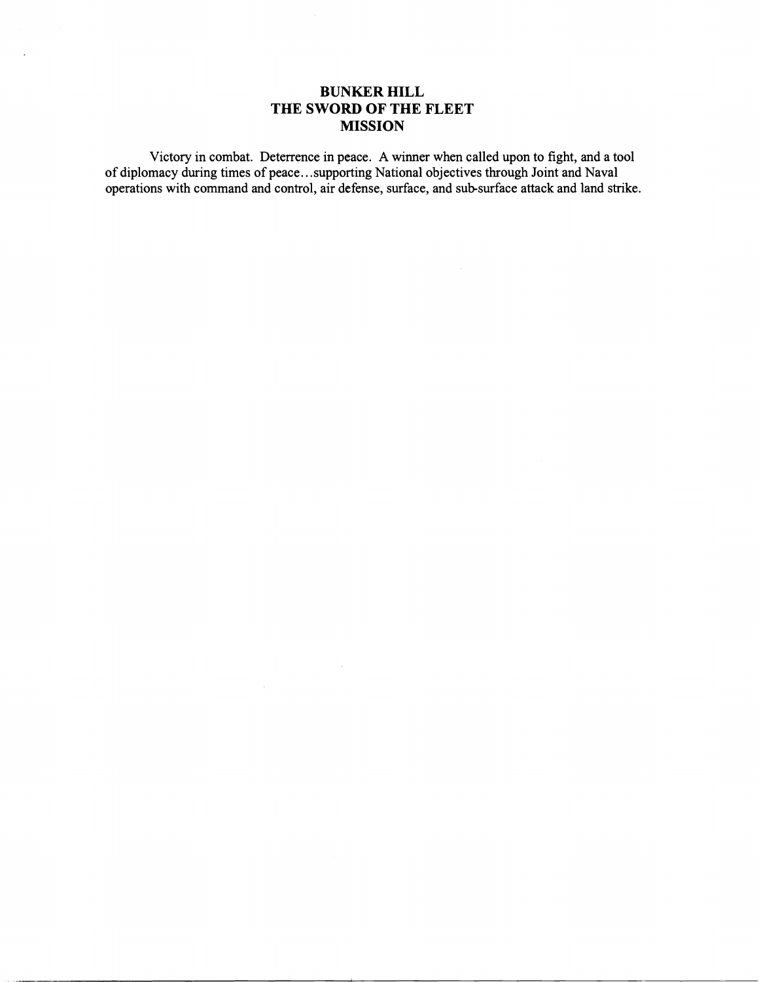## **BUNKER HILL THE SWORD OF THE FLEET MISSION**

Victory in combat. Deterrence in peace. **A** winner when called upon to fight, and a tool of diplomacy during times of peace.. .supporting National objectives through Joint and Naval operations with command and control, air defense, surface, and subsurface attack and land strike.

 $\mathcal{L}_{\mathcal{A}}$